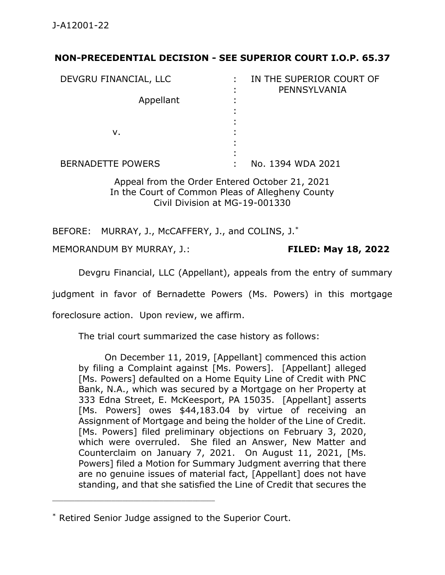## **NON-PRECEDENTIAL DECISION - SEE SUPERIOR COURT I.O.P. 65.37**

| DEVGRU FINANCIAL, LLC    | IN THE SUPERIOR COURT OF<br>PENNSYLVANIA |
|--------------------------|------------------------------------------|
| Appellant                |                                          |
| v.                       |                                          |
| <b>BERNADETTE POWERS</b> | No. 1394 WDA 2021                        |

Appeal from the Order Entered October 21, 2021 In the Court of Common Pleas of Allegheny County Civil Division at MG-19-001330

BEFORE: MURRAY, J., McCAFFERY, J., and COLINS, J.<sup>\*</sup>

MEMORANDUM BY MURRAY, J.: **FILED: May 18, 2022**

Devgru Financial, LLC (Appellant), appeals from the entry of summary

judgment in favor of Bernadette Powers (Ms. Powers) in this mortgage

foreclosure action. Upon review, we affirm.

The trial court summarized the case history as follows:

On December 11, 2019, [Appellant] commenced this action by filing a Complaint against [Ms. Powers]. [Appellant] alleged [Ms. Powers] defaulted on a Home Equity Line of Credit with PNC Bank, N.A., which was secured by a Mortgage on her Property at 333 Edna Street, E. McKeesport, PA 15035. [Appellant] asserts [Ms. Powers] owes \$44,183.04 by virtue of receiving an Assignment of Mortgage and being the holder of the Line of Credit. [Ms. Powers] filed preliminary objections on February 3, 2020, which were overruled. She filed an Answer, New Matter and Counterclaim on January 7, 2021. On August 11, 2021, [Ms. Powers] filed a Motion for Summary Judgment averring that there are no genuine issues of material fact, [Appellant] does not have standing, and that she satisfied the Line of Credit that secures the

\_\_\_\_\_\_\_\_\_\_\_\_\_\_\_\_\_\_\_\_\_\_\_\_\_\_\_\_\_\_\_\_\_\_\_\_\_\_\_\_\_\_\_\_

<sup>\*</sup> Retired Senior Judge assigned to the Superior Court.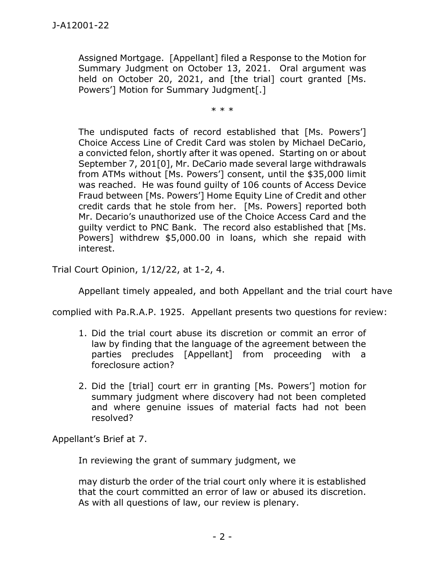Assigned Mortgage. [Appellant] filed a Response to the Motion for Summary Judgment on October 13, 2021. Oral argument was held on October 20, 2021, and [the trial] court granted [Ms. Powers'] Motion for Summary Judgment[.]

\* \* \*

The undisputed facts of record established that [Ms. Powers'] Choice Access Line of Credit Card was stolen by Michael DeCario, a convicted felon, shortly after it was opened. Starting on or about September 7, 201[0], Mr. DeCario made several large withdrawals from ATMs without [Ms. Powers'] consent, until the \$35,000 limit was reached. He was found guilty of 106 counts of Access Device Fraud between [Ms. Powers'] Home Equity Line of Credit and other credit cards that he stole from her. [Ms. Powers] reported both Mr. Decario's unauthorized use of the Choice Access Card and the guilty verdict to PNC Bank. The record also established that [Ms. Powers] withdrew \$5,000.00 in loans, which she repaid with interest.

Trial Court Opinion, 1/12/22, at 1-2, 4.

Appellant timely appealed, and both Appellant and the trial court have

complied with Pa.R.A.P. 1925. Appellant presents two questions for review:

- 1. Did the trial court abuse its discretion or commit an error of law by finding that the language of the agreement between the parties precludes [Appellant] from proceeding with a foreclosure action?
- 2. Did the [trial] court err in granting [Ms. Powers'] motion for summary judgment where discovery had not been completed and where genuine issues of material facts had not been resolved?

Appellant's Brief at 7.

In reviewing the grant of summary judgment, we

may disturb the order of the trial court only where it is established that the court committed an error of law or abused its discretion. As with all questions of law, our review is plenary.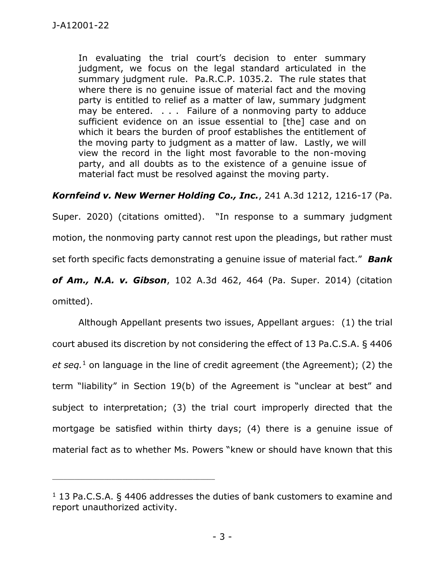In evaluating the trial court's decision to enter summary judgment, we focus on the legal standard articulated in the summary judgment rule. Pa.R.C.P. 1035.2. The rule states that where there is no genuine issue of material fact and the moving party is entitled to relief as a matter of law, summary judgment may be entered. . . . Failure of a nonmoving party to adduce sufficient evidence on an issue essential to [the] case and on which it bears the burden of proof establishes the entitlement of the moving party to judgment as a matter of law. Lastly, we will view the record in the light most favorable to the non-moving party, and all doubts as to the existence of a genuine issue of material fact must be resolved against the moving party.

## *Kornfeind v. New Werner Holding Co., Inc.*, 241 A.3d 1212, 1216-17 (Pa.

Super. 2020) (citations omitted). "In response to a summary judgment motion, the nonmoving party cannot rest upon the pleadings, but rather must set forth specific facts demonstrating a genuine issue of material fact." *Bank of Am., N.A. v. Gibson*, 102 A.3d 462, 464 (Pa. Super. 2014) (citation omitted).

Although Appellant presents two issues, Appellant argues: (1) the trial court abused its discretion by not considering the effect of 13 Pa.C.S.A. § 4406 *et seq.*<sup>1</sup> on language in the line of credit agreement (the Agreement); (2) the term "liability" in Section 19(b) of the Agreement is "unclear at best" and subject to interpretation; (3) the trial court improperly directed that the mortgage be satisfied within thirty days; (4) there is a genuine issue of material fact as to whether Ms. Powers "knew or should have known that this

\_\_\_\_\_\_\_\_\_\_\_\_\_\_\_\_\_\_\_\_\_\_\_\_\_\_\_\_\_\_\_\_\_\_\_\_\_\_\_\_\_\_\_\_

 $1$  13 Pa.C.S.A. § 4406 addresses the duties of bank customers to examine and report unauthorized activity.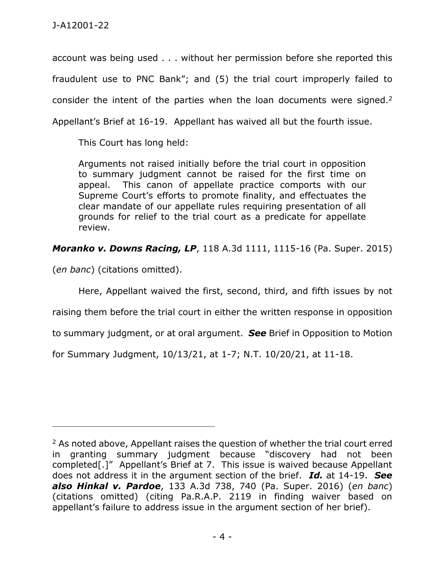account was being used . . . without her permission before she reported this fraudulent use to PNC Bank"; and (5) the trial court improperly failed to consider the intent of the parties when the loan documents were signed. $2$ Appellant's Brief at 16-19. Appellant has waived all but the fourth issue.

This Court has long held:

Arguments not raised initially before the trial court in opposition to summary judgment cannot be raised for the first time on appeal. This canon of appellate practice comports with our Supreme Court's efforts to promote finality, and effectuates the clear mandate of our appellate rules requiring presentation of all grounds for relief to the trial court as a predicate for appellate review.

*Moranko v. Downs Racing, LP*, 118 A.3d 1111, 1115-16 (Pa. Super. 2015)

(*en banc*) (citations omitted).

Here, Appellant waived the first, second, third, and fifth issues by not raising them before the trial court in either the written response in opposition

to summary judgment, or at oral argument. *See* Brief in Opposition to Motion

for Summary Judgment, 10/13/21, at 1-7; N.T. 10/20/21, at 11-18.

<sup>&</sup>lt;sup>2</sup> As noted above, Appellant raises the question of whether the trial court erred in granting summary judgment because "discovery had not been completed[.]" Appellant's Brief at 7. This issue is waived because Appellant does not address it in the argument section of the brief. *Id.* at 14-19. *See also Hinkal v. Pardoe*, 133 A.3d 738, 740 (Pa. Super. 2016) (*en banc*) (citations omitted) (citing Pa.R.A.P. 2119 in finding waiver based on appellant's failure to address issue in the argument section of her brief).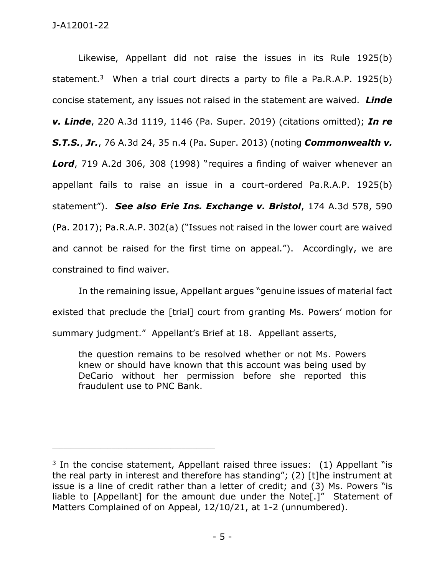J-A12001-22

Likewise, Appellant did not raise the issues in its Rule 1925(b) statement.<sup>3</sup> When a trial court directs a party to file a Pa.R.A.P. 1925(b) concise statement, any issues not raised in the statement are waived. *Linde v. Linde*, 220 A.3d 1119, 1146 (Pa. Super. 2019) (citations omitted); *In re S.T.S.*, *Jr.*, 76 A.3d 24, 35 n.4 (Pa. Super. 2013) (noting *Commonwealth v.*  Lord, 719 A.2d 306, 308 (1998) "requires a finding of waiver whenever an appellant fails to raise an issue in a court-ordered Pa.R.A.P. 1925(b) statement"). *See also Erie Ins. Exchange v. Bristol*, 174 A.3d 578, 590 (Pa. 2017); Pa.R.A.P. 302(a) ("Issues not raised in the lower court are waived and cannot be raised for the first time on appeal."). Accordingly, we are constrained to find waiver.

In the remaining issue, Appellant argues "genuine issues of material fact existed that preclude the [trial] court from granting Ms. Powers' motion for summary judgment." Appellant's Brief at 18. Appellant asserts,

the question remains to be resolved whether or not Ms. Powers knew or should have known that this account was being used by DeCario without her permission before she reported this fraudulent use to PNC Bank.

<sup>&</sup>lt;sup>3</sup> In the concise statement, Appellant raised three issues:  $(1)$  Appellant "is the real party in interest and therefore has standing"; (2) [t]he instrument at issue is a line of credit rather than a letter of credit; and (3) Ms. Powers "is liable to [Appellant] for the amount due under the Note[.]" Statement of Matters Complained of on Appeal, 12/10/21, at 1-2 (unnumbered).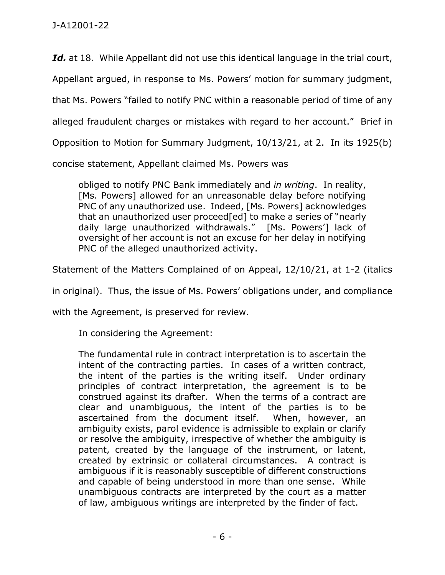Id. at 18. While Appellant did not use this identical language in the trial court, Appellant argued, in response to Ms. Powers' motion for summary judgment, that Ms. Powers "failed to notify PNC within a reasonable period of time of any alleged fraudulent charges or mistakes with regard to her account." Brief in Opposition to Motion for Summary Judgment, 10/13/21, at 2. In its 1925(b)

concise statement, Appellant claimed Ms. Powers was

obliged to notify PNC Bank immediately and *in writing*. In reality, [Ms. Powers] allowed for an unreasonable delay before notifying PNC of any unauthorized use. Indeed, [Ms. Powers] acknowledges that an unauthorized user proceed[ed] to make a series of "nearly daily large unauthorized withdrawals." [Ms. Powers'] lack of oversight of her account is not an excuse for her delay in notifying PNC of the alleged unauthorized activity.

Statement of the Matters Complained of on Appeal, 12/10/21, at 1-2 (italics

in original). Thus, the issue of Ms. Powers' obligations under, and compliance

with the Agreement, is preserved for review.

In considering the Agreement:

The fundamental rule in contract interpretation is to ascertain the intent of the contracting parties. In cases of a written contract, the intent of the parties is the writing itself. Under ordinary principles of contract interpretation, the agreement is to be construed against its drafter. When the terms of a contract are clear and unambiguous, the intent of the parties is to be ascertained from the document itself. When, however, an ambiguity exists, parol evidence is admissible to explain or clarify or resolve the ambiguity, irrespective of whether the ambiguity is patent, created by the language of the instrument, or latent, created by extrinsic or collateral circumstances. A contract is ambiguous if it is reasonably susceptible of different constructions and capable of being understood in more than one sense. While unambiguous contracts are interpreted by the court as a matter of law, ambiguous writings are interpreted by the finder of fact.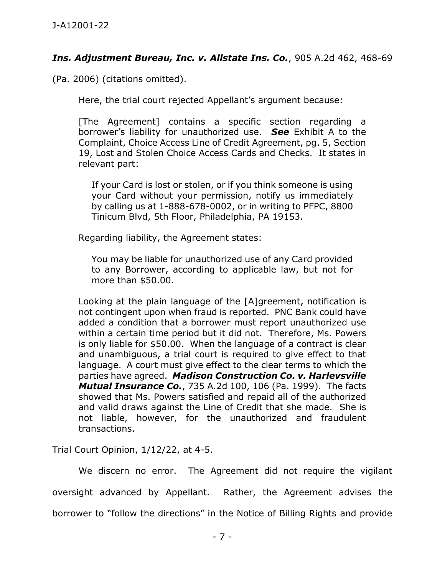## *Ins. Adjustment Bureau, Inc. v. Allstate Ins. Co.*, 905 A.2d 462, 468-69

(Pa. 2006) (citations omitted).

Here, the trial court rejected Appellant's argument because:

[The Agreement] contains a specific section regarding a borrower's liability for unauthorized use. *See* Exhibit A to the Complaint, Choice Access Line of Credit Agreement, pg. 5, Section 19, Lost and Stolen Choice Access Cards and Checks. It states in relevant part:

If your Card is lost or stolen, or if you think someone is using your Card without your permission, notify us immediately by calling us at 1-888-678-0002, or in writing to PFPC, 8800 Tinicum Blvd, 5th Floor, Philadelphia, PA 19153.

Regarding liability, the Agreement states:

You may be liable for unauthorized use of any Card provided to any Borrower, according to applicable law, but not for more than \$50.00.

Looking at the plain language of the [A]greement, notification is not contingent upon when fraud is reported. PNC Bank could have added a condition that a borrower must report unauthorized use within a certain time period but it did not. Therefore, Ms. Powers is only liable for \$50.00. When the language of a contract is clear and unambiguous, a trial court is required to give effect to that language. A court must give effect to the clear terms to which the parties have agreed. *Madison Construction Co. v. Harlevsville Mutual Insurance Co.*, 735 A.2d 100, 106 (Pa. 1999). The facts showed that Ms. Powers satisfied and repaid all of the authorized and valid draws against the Line of Credit that she made. She is not liable, however, for the unauthorized and fraudulent transactions.

Trial Court Opinion, 1/12/22, at 4-5.

We discern no error. The Agreement did not require the vigilant oversight advanced by Appellant. Rather, the Agreement advises the borrower to "follow the directions" in the Notice of Billing Rights and provide